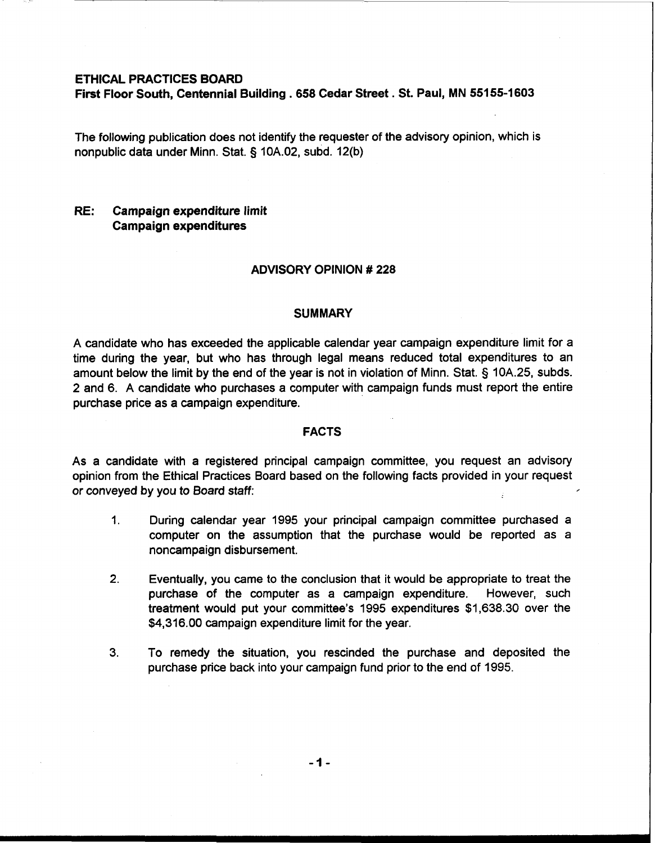### **ETHICAL PRACTICES BOARD**

**First Floor South, Centennial Building** . **658 Cedar Street** . **St. Paul, MN 551 55-1603** 

The following publication does not identify the requester of the advisory opinion, which is nonpublic data under Minn. Stat. § 10A.02, subd. 12(b)

# **RE: Campaign expenditure limit Campaign expenditures**

### **ADVISORY OPINION** # **228**

#### **SUMMARY**

A candidate who has exceeded the applicable calendar year campaign expenditure limit for a time during the year, but who has through legal means reduced total expenditures to an amount below the limit by the end of the year is not in violation of Minn. Stat. § 10A.25, subds. 2 and 6. A candidate who purchases a computer with campaign funds must report the entire purchase price as a campaign expenditure.

## **FACTS**

As a candidate with a registered principal campaign committee, you request an advisory opinion from the Ethical Practices Board based on the following facts provided in your request or conveyed by you to Board staff:

- 1. During calendar year 1995 your principal campaign committee purchased a computer on the assumption that the purchase would be reported as a noncampaign disbursement.
- **2.** Eventually, you came to the conclusion that it would be appropriate to treat the purchase of the computer as a campaign expenditure. However, such treatment would put your committee's 1995 expenditures \$1,638.30 over the \$4,316.00 campaign expenditure limit for the year.
- 3. To remedy the situation, you rescinded the purchase and deposited the purchase price back into your campaign fund prior to the end of 1995.

 $-1-$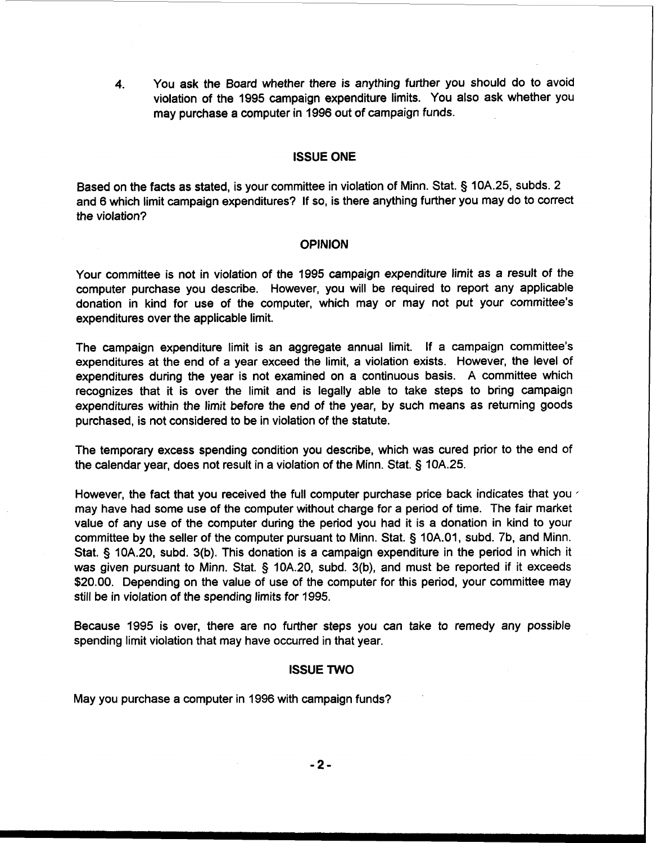**4.** You ask the Board whether there is anything further you should do to avoid violation of the 1995 campaign expenditure limits. You also ask whether you may purchase a computer in 1996 out of campaign funds.

## ISSUE ONE

Based on the facts as stated, is your committee in violation of Minn. Stat. 5 10A.25, subds. 2 and 6 which limit campaign expenditures? If so, is there anything further you may do to correct the violation?

## **OPINION**

Your committee is not in violation of the 1995 campaign expenditure limit as a result of the computer purchase you describe. However, you will be required to report any applicable donation in kind for use of the computer, which may or may not put your committee's expenditures over the applicable limit.

The campaign expenditure limit is an aggregate annual limit. If a campaign committee's expenditures at the end of a year exceed the limit, a violation exists. However, the level of expenditures during the year is not examined on a continuous basis. A committee which recognizes that it is over the limit and is legally able to take steps to bring campaign expenditures within the limit before the end of the year, by such means as returning goods purchased, is not considered to be in violation of the statute.

The temporary excess spending condition you describe, which was cured prior to the end of the calendar year, does not result in a violation of the Minn. Stat. § 10A.25.

However, the fact that you received the full computer purchase price back indicates that you may have had some use of the computer without charge for a period of time. The fair market value of any use of the computer during the period you had it is a donation in kind to your committee by the seller of the computer pursuant to Minn. Stat. § 10A.01, subd. 7b, and Minn. Stat. § 10A.20, subd. 3(b). This donation is a campaign expenditure in the period in which it was given pursuant to Minn. Stat. § 10A.20, subd. 3(b), and must be reported if it exceeds \$20.00. Depending on the value of use of the computer for this period, your committee may still be in violation of the spending limits for 1995.

Because 1995 is over, there are no further steps you can take to remedy any possible spending limit violation that may have occurred in that year.

## ISSUE TWO

May you purchase a computer in 1996 with campaign funds?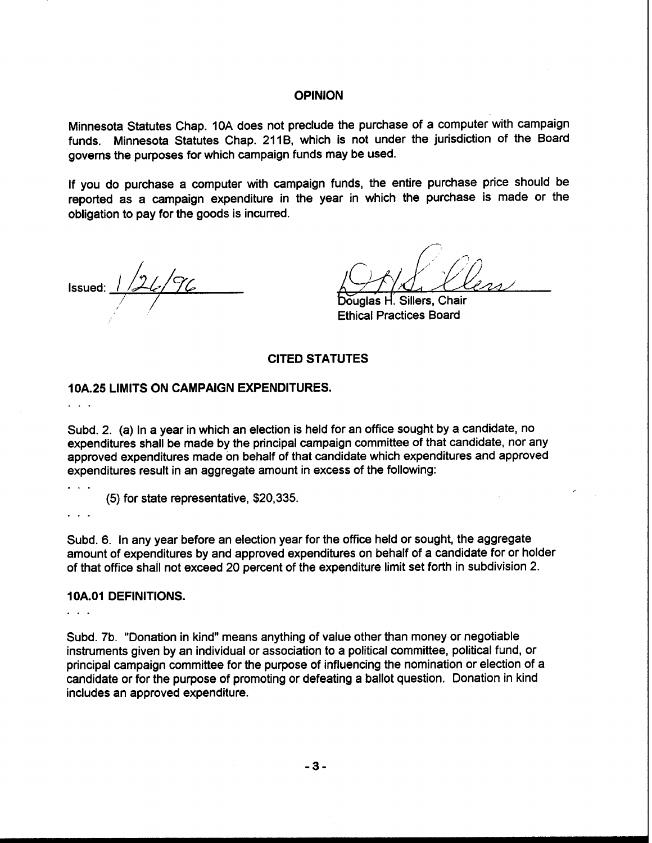# **OPINION**

Minnesota Statutes Chap. 10A does not preclude the purchase of a computer with campaign funds. Minnesota Statutes Chap. 211B, which is not under the jurisdiction of the Board governs the purposes for which campaign funds may be used.

If you do purchase a computer with campaign funds, the entire purchase price should be reported as a campaign expenditure in the year in which the purchase is made or the obligation to pay for the goods is incurred.

Issued:

Sillers, Chair õuɑlas Н. **Ethical Practices Board** 

## **CITED STATUTES**

# **10A.25 LIMITS ON CAMPAIGN EXPENDITURES.**  . . .

Subd. 2. (a) In a year in which an election is held for an office sought by a candidate, no expenditures shall be made by the principal campaign committee of that candidate, nor any approved expenditures made on behalf of that candidate which expenditures and approved expenditures result in an aggregate amount in excess of the following:

(5) for state representative, \$20,335.

. . .

Subd. 6. In any year before an election year for the office held or sought, the aggregate amount of expenditures by and approved expenditures on behalf of a candidate for or holder of that office shall not exceed 20 percent of the expenditure limit set forth in subdivision 2.

### **10A.01 DEFINITIONS.**

. . .

Subd. 7b. "Donation in kind" means anything of value other than money or negotiable instruments given by an individual or association to a political committee, political fund, or principal campaign committee for the purpose of influencing the nomination or election of a candidate or for the purpose of promoting or defeating a ballot question. Donation in kind includes an approved expenditure.